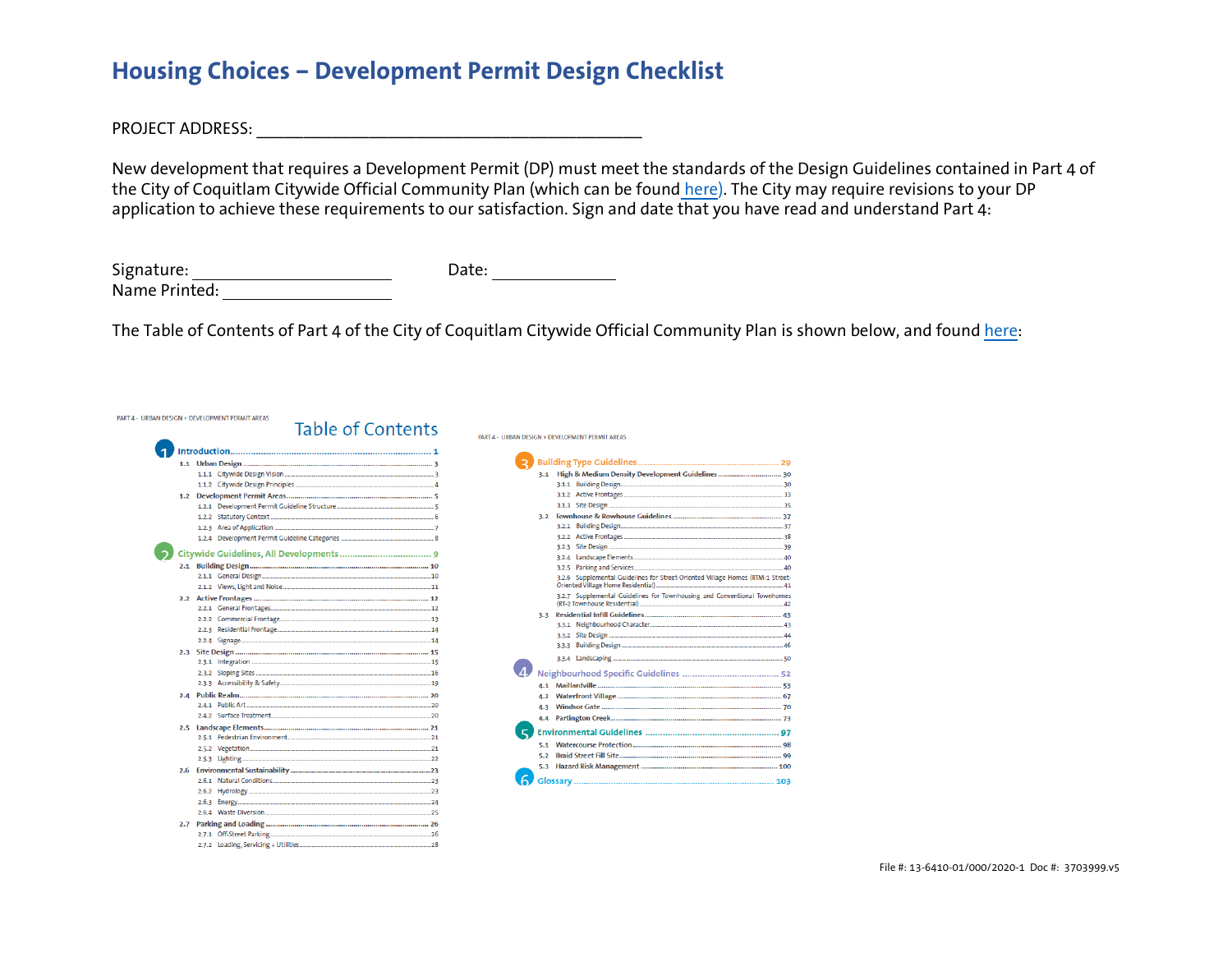# **Housing Choices – Development Permit Design Checklist**

PROJECT ADDRESS: \_\_\_\_\_\_\_\_\_\_\_\_\_\_\_\_\_\_\_\_\_\_\_\_\_\_\_\_\_\_\_\_\_\_\_\_\_\_\_\_\_

**PART 4** 

New development that requires a Development Permit (DP) must meet the standards of the Design Guidelines contained in Part 4 of the City of Coquitlam Citywide Official Community Plan (which can be found [here\)](https://www.coquitlam.ca/616/Citywide-Official-Community-Plan). The City may require revisions to your DP application to achieve these requirements to our satisfaction. Sign and date that you have read and understand Part 4:

| Signature:    | Date: |
|---------------|-------|
| Name Printed: |       |

The Table of Contents of Part 4 of the City of Coquitlam Citywide Official Community Plan is shown below, and found [here:](https://www.coquitlam.ca/616/Citywide-Official-Community-Plan)

|     | JRBAN DESIGN + DEVELOPMENT PERMIT AREAS |  |
|-----|-----------------------------------------|--|
|     | <b>Table of Contents</b>                |  |
|     |                                         |  |
| 1.1 |                                         |  |
|     |                                         |  |
|     |                                         |  |
| 1.2 |                                         |  |
|     |                                         |  |
|     |                                         |  |
|     |                                         |  |
|     |                                         |  |
|     |                                         |  |
| 2.1 |                                         |  |
|     |                                         |  |
|     |                                         |  |
| 2.2 |                                         |  |
|     |                                         |  |
|     |                                         |  |
|     |                                         |  |
|     |                                         |  |
| 2.3 |                                         |  |
|     |                                         |  |
|     |                                         |  |
|     |                                         |  |
| 2.4 |                                         |  |
|     |                                         |  |
|     |                                         |  |
| 2.5 |                                         |  |
|     |                                         |  |
|     |                                         |  |
|     |                                         |  |
| 2.6 |                                         |  |
|     |                                         |  |
|     |                                         |  |
|     |                                         |  |
|     |                                         |  |
| 2.7 |                                         |  |
|     |                                         |  |
|     |                                         |  |

|     | PART 4 - LIRRAN DESIGN + DEVELOPMENT PERMIT AREAS                              |  |
|-----|--------------------------------------------------------------------------------|--|
|     |                                                                                |  |
|     |                                                                                |  |
| 3.1 | High & Medium Density Development Guidelines  30                               |  |
|     |                                                                                |  |
|     |                                                                                |  |
|     |                                                                                |  |
| 3.2 |                                                                                |  |
|     |                                                                                |  |
|     |                                                                                |  |
|     |                                                                                |  |
|     |                                                                                |  |
|     |                                                                                |  |
|     | 3.2.6 Supplemental Guidelines for Street-Oriented Village Homes (RTM-1 Street- |  |
|     | 3.2.7 Supplemental Guidelines for Townhousing and Conventional Townhomes       |  |
|     |                                                                                |  |
| 3.3 |                                                                                |  |
|     |                                                                                |  |
|     |                                                                                |  |
|     |                                                                                |  |
|     |                                                                                |  |
|     |                                                                                |  |
|     |                                                                                |  |
| 4.2 |                                                                                |  |
| 4.3 |                                                                                |  |
| 4.4 |                                                                                |  |
|     |                                                                                |  |
| 5.4 |                                                                                |  |
| 5.2 |                                                                                |  |
|     |                                                                                |  |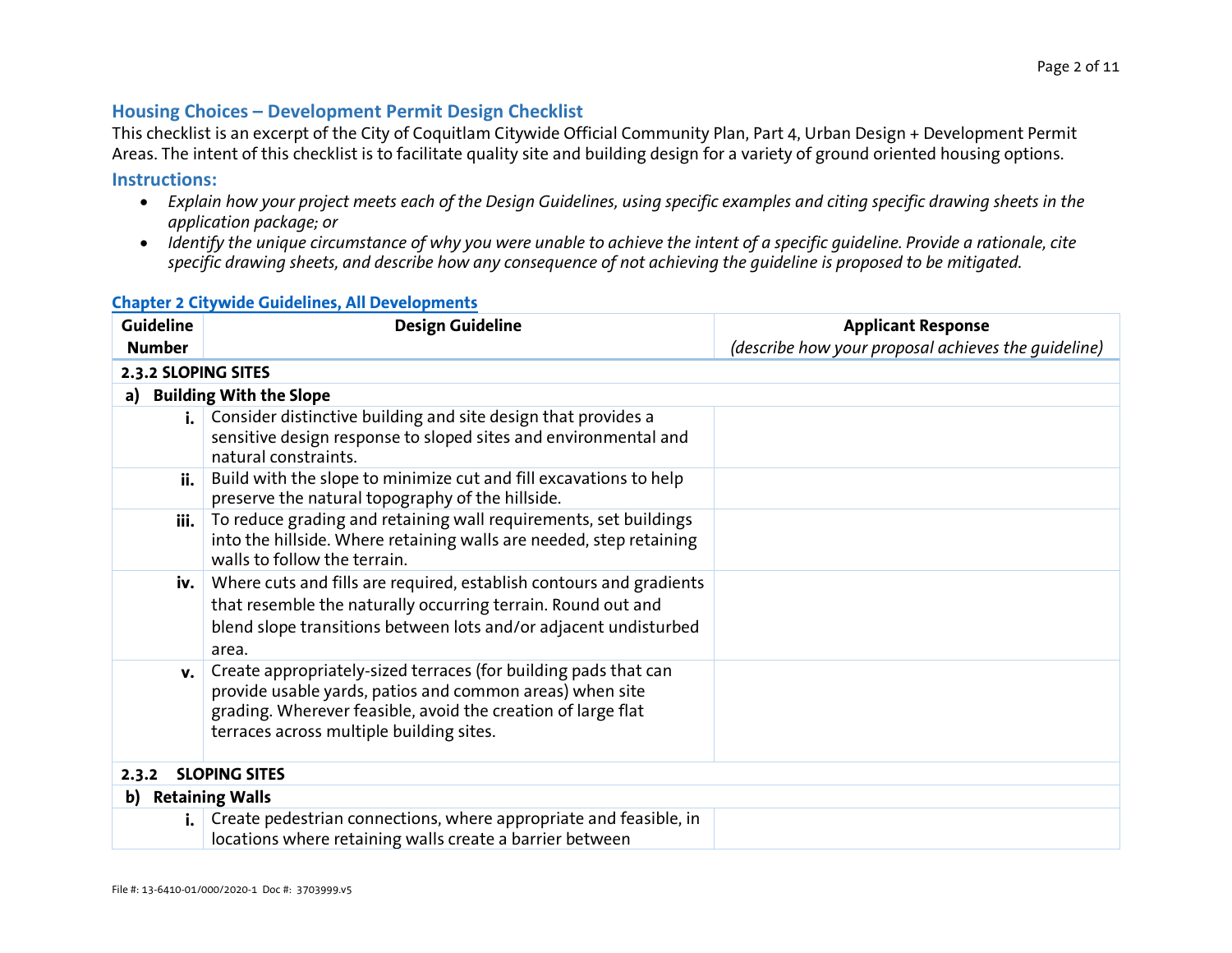### **Housing Choices – Development Permit Design Checklist**

This checklist is an excerpt of the City of Coquitlam Citywide Official Community Plan, Part 4, Urban Design + Development Permit Areas. The intent of this checklist is to facilitate quality site and building design for a variety of ground oriented housing options.

#### **Instructions:**

- *Explain how your project meets each of the Design Guidelines, using specific examples and citing specific drawing sheets in the application package; or*
- *Identify the unique circumstance of why you were unable to achieve the intent of a specific guideline. Provide a rationale, cite specific drawing sheets, and describe how any consequence of not achieving the guideline is proposed to be mitigated.*

| <b>Guideline</b> | <b>Design Guideline</b>                                                         | <b>Applicant Response</b>                           |
|------------------|---------------------------------------------------------------------------------|-----------------------------------------------------|
| <b>Number</b>    |                                                                                 | (describe how your proposal achieves the quideline) |
|                  |                                                                                 |                                                     |
|                  | 2.3.2 SLOPING SITES                                                             |                                                     |
| a)               | <b>Building With the Slope</b>                                                  |                                                     |
|                  | Consider distinctive building and site design that provides a<br>$\mathbf{i}$ . |                                                     |
|                  | sensitive design response to sloped sites and environmental and                 |                                                     |
|                  | natural constraints.                                                            |                                                     |
| ii.              | Build with the slope to minimize cut and fill excavations to help               |                                                     |
|                  | preserve the natural topography of the hillside.                                |                                                     |
| iii.             | To reduce grading and retaining wall requirements, set buildings                |                                                     |
|                  | into the hillside. Where retaining walls are needed, step retaining             |                                                     |
|                  | walls to follow the terrain.                                                    |                                                     |
|                  | iv.   Where cuts and fills are required, establish contours and gradients       |                                                     |
|                  | that resemble the naturally occurring terrain. Round out and                    |                                                     |
|                  | blend slope transitions between lots and/or adjacent undisturbed                |                                                     |
|                  | area.                                                                           |                                                     |
| v.               | Create appropriately-sized terraces (for building pads that can                 |                                                     |
|                  | provide usable yards, patios and common areas) when site                        |                                                     |
|                  | grading. Wherever feasible, avoid the creation of large flat                    |                                                     |
|                  | terraces across multiple building sites.                                        |                                                     |
|                  |                                                                                 |                                                     |
| 2.3.2            | <b>SLOPING SITES</b>                                                            |                                                     |
| b)               | <b>Retaining Walls</b>                                                          |                                                     |
| $\mathbf{i}$ .   | Create pedestrian connections, where appropriate and feasible, in               |                                                     |
|                  | locations where retaining walls create a barrier between                        |                                                     |

#### **[Chapter 2 Citywide Guidelines, All Developments](https://coquitlam.ca/mwg-internal/de5fs23hu73ds/progress?id=_T0dqCoX2bXZHkiILxKr3m812bUwZufEz29KriLDAlM,&dlhttps://coquitlam.ca/mwg-internal/de5fs23hu73ds/progress?id=_T0dqCoX2bXZHkiILxKr3m812bUwZufEz29KriLDAlM,&dl)**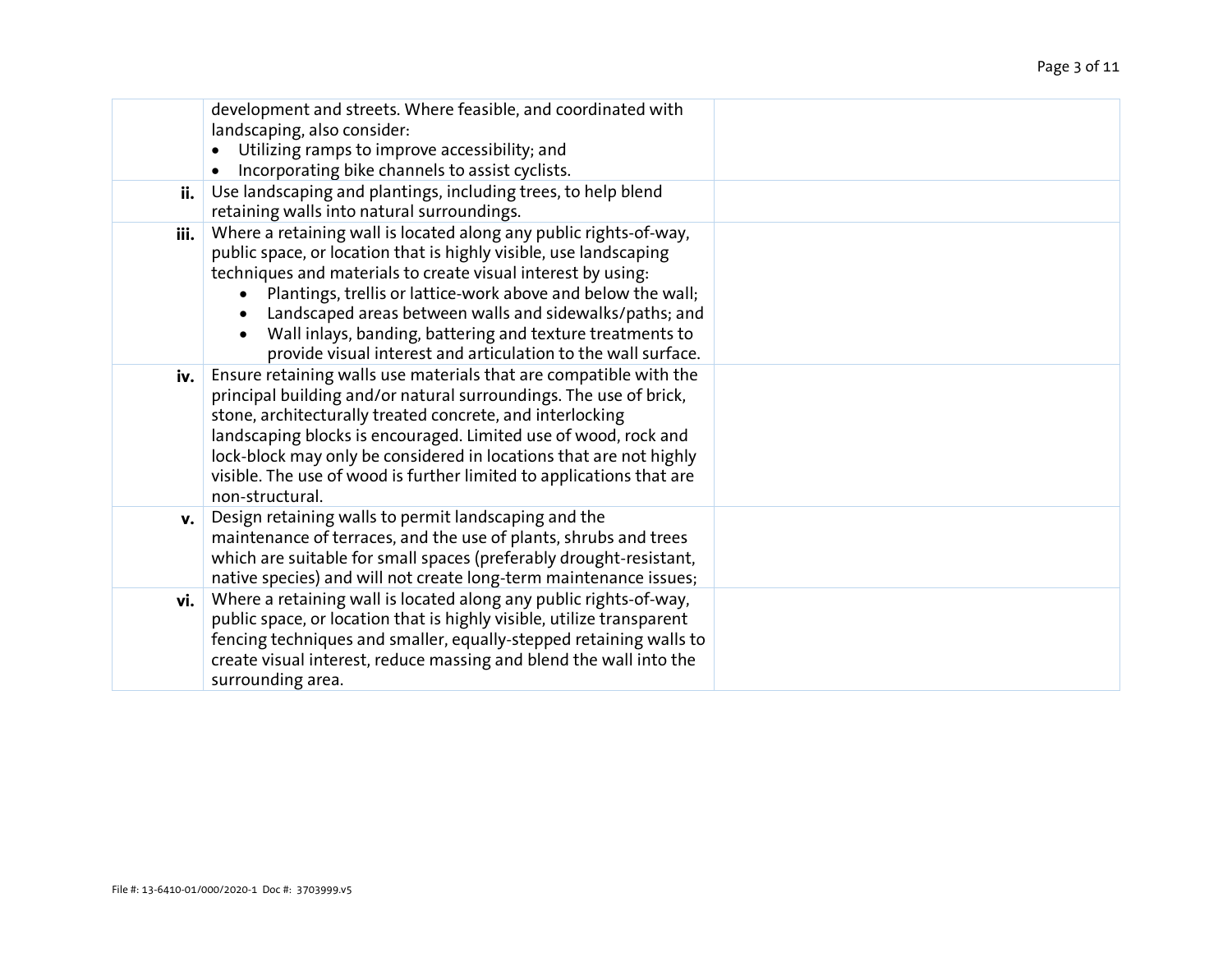|      | development and streets. Where feasible, and coordinated with<br>landscaping, also consider:<br>Utilizing ramps to improve accessibility; and<br>Incorporating bike channels to assist cyclists.<br>$\bullet$                                                                                                                                                                                                                                                   |  |
|------|-----------------------------------------------------------------------------------------------------------------------------------------------------------------------------------------------------------------------------------------------------------------------------------------------------------------------------------------------------------------------------------------------------------------------------------------------------------------|--|
| ii.  | Use landscaping and plantings, including trees, to help blend<br>retaining walls into natural surroundings.                                                                                                                                                                                                                                                                                                                                                     |  |
| iii. | Where a retaining wall is located along any public rights-of-way,<br>public space, or location that is highly visible, use landscaping<br>techniques and materials to create visual interest by using:<br>Plantings, trellis or lattice-work above and below the wall;<br>Landscaped areas between walls and sidewalks/paths; and<br>Wall inlays, banding, battering and texture treatments to<br>provide visual interest and articulation to the wall surface. |  |
| iv.  | Ensure retaining walls use materials that are compatible with the<br>principal building and/or natural surroundings. The use of brick,<br>stone, architecturally treated concrete, and interlocking<br>landscaping blocks is encouraged. Limited use of wood, rock and<br>lock-block may only be considered in locations that are not highly<br>visible. The use of wood is further limited to applications that are<br>non-structural.                         |  |
| v.   | Design retaining walls to permit landscaping and the<br>maintenance of terraces, and the use of plants, shrubs and trees<br>which are suitable for small spaces (preferably drought-resistant,<br>native species) and will not create long-term maintenance issues;                                                                                                                                                                                             |  |
| vi.  | Where a retaining wall is located along any public rights-of-way,<br>public space, or location that is highly visible, utilize transparent<br>fencing techniques and smaller, equally-stepped retaining walls to<br>create visual interest, reduce massing and blend the wall into the<br>surrounding area.                                                                                                                                                     |  |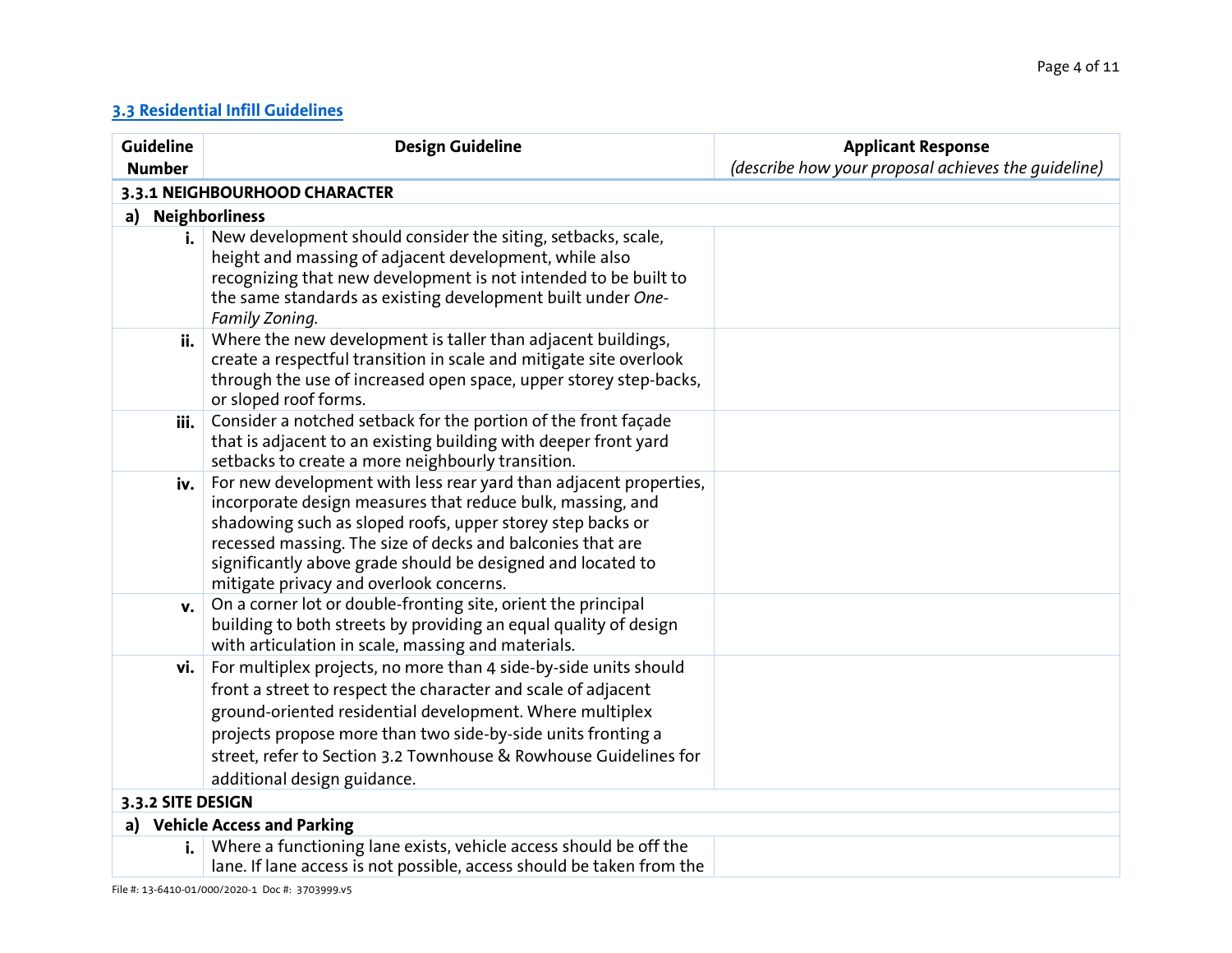## **[3.3 Residential Infill Guidelines](https://coquitlam.ca/mwg-internal/de5fs23hu73ds/progress?id=_T0dqCoX2bXZHkiILxKr3m812bUwZufEz29KriLDAlM,&dlhttps://coquitlam.ca/mwg-internal/de5fs23hu73ds/progress?id=_T0dqCoX2bXZHkiILxKr3m812bUwZufEz29KriLDAlM,&dl)**

| Guideline         | <b>Design Guideline</b>                                                                                                                                                                                                                                                                                                                                               | <b>Applicant Response</b>                           |
|-------------------|-----------------------------------------------------------------------------------------------------------------------------------------------------------------------------------------------------------------------------------------------------------------------------------------------------------------------------------------------------------------------|-----------------------------------------------------|
| <b>Number</b>     |                                                                                                                                                                                                                                                                                                                                                                       | (describe how your proposal achieves the quideline) |
|                   | 3.3.1 NEIGHBOURHOOD CHARACTER                                                                                                                                                                                                                                                                                                                                         |                                                     |
| a)                | <b>Neighborliness</b>                                                                                                                                                                                                                                                                                                                                                 |                                                     |
| i. I              | New development should consider the siting, setbacks, scale,<br>height and massing of adjacent development, while also<br>recognizing that new development is not intended to be built to<br>the same standards as existing development built under One-<br>Family Zoning.                                                                                            |                                                     |
| ii.               | Where the new development is taller than adjacent buildings,<br>create a respectful transition in scale and mitigate site overlook<br>through the use of increased open space, upper storey step-backs,<br>or sloped roof forms.                                                                                                                                      |                                                     |
| iii.              | Consider a notched setback for the portion of the front facade<br>that is adjacent to an existing building with deeper front yard<br>setbacks to create a more neighbourly transition.                                                                                                                                                                                |                                                     |
| iv.               | For new development with less rear yard than adjacent properties,<br>incorporate design measures that reduce bulk, massing, and<br>shadowing such as sloped roofs, upper storey step backs or<br>recessed massing. The size of decks and balconies that are<br>significantly above grade should be designed and located to<br>mitigate privacy and overlook concerns. |                                                     |
| v.                | On a corner lot or double-fronting site, orient the principal<br>building to both streets by providing an equal quality of design<br>with articulation in scale, massing and materials.                                                                                                                                                                               |                                                     |
| vi.               | For multiplex projects, no more than 4 side-by-side units should<br>front a street to respect the character and scale of adjacent<br>ground-oriented residential development. Where multiplex<br>projects propose more than two side-by-side units fronting a<br>street, refer to Section 3.2 Townhouse & Rowhouse Guidelines for<br>additional design guidance.      |                                                     |
| 3.3.2 SITE DESIGN |                                                                                                                                                                                                                                                                                                                                                                       |                                                     |
|                   | a) Vehicle Access and Parking                                                                                                                                                                                                                                                                                                                                         |                                                     |
| i.                | Where a functioning lane exists, vehicle access should be off the<br>lane. If lane access is not possible, access should be taken from the                                                                                                                                                                                                                            |                                                     |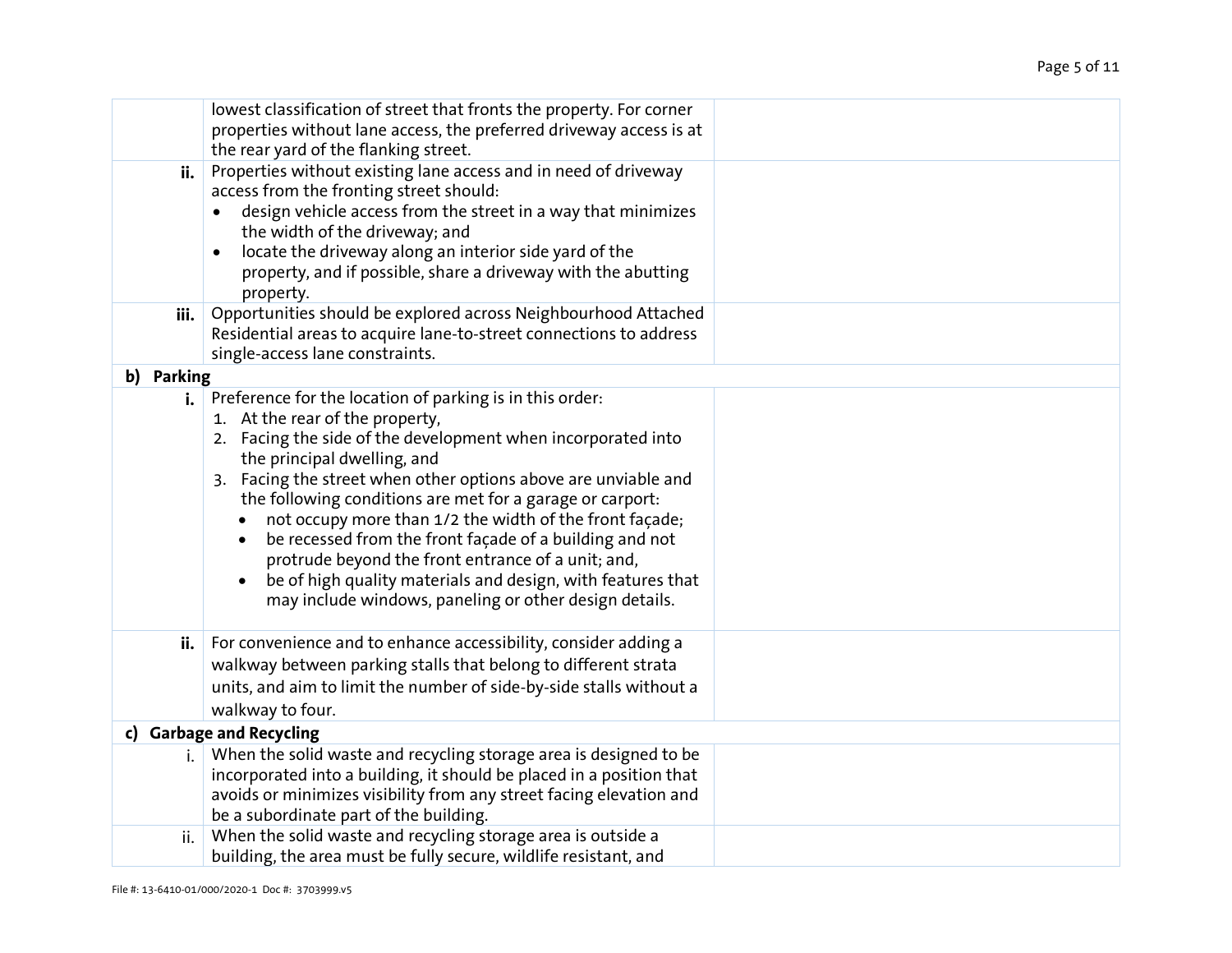| ii.        | lowest classification of street that fronts the property. For corner<br>properties without lane access, the preferred driveway access is at<br>the rear yard of the flanking street.<br>Properties without existing lane access and in need of driveway<br>access from the fronting street should:<br>design vehicle access from the street in a way that minimizes<br>the width of the driveway; and<br>locate the driveway along an interior side yard of the<br>$\bullet$<br>property, and if possible, share a driveway with the abutting                                                                                  |  |
|------------|--------------------------------------------------------------------------------------------------------------------------------------------------------------------------------------------------------------------------------------------------------------------------------------------------------------------------------------------------------------------------------------------------------------------------------------------------------------------------------------------------------------------------------------------------------------------------------------------------------------------------------|--|
| iii.       | property.<br>Opportunities should be explored across Neighbourhood Attached<br>Residential areas to acquire lane-to-street connections to address<br>single-access lane constraints.                                                                                                                                                                                                                                                                                                                                                                                                                                           |  |
| b) Parking |                                                                                                                                                                                                                                                                                                                                                                                                                                                                                                                                                                                                                                |  |
| i.         | Preference for the location of parking is in this order:<br>1. At the rear of the property,<br>2. Facing the side of the development when incorporated into<br>the principal dwelling, and<br>3. Facing the street when other options above are unviable and<br>the following conditions are met for a garage or carport:<br>not occupy more than 1/2 the width of the front façade;<br>be recessed from the front façade of a building and not<br>protrude beyond the front entrance of a unit; and,<br>be of high quality materials and design, with features that<br>may include windows, paneling or other design details. |  |
| ii.        | For convenience and to enhance accessibility, consider adding a<br>walkway between parking stalls that belong to different strata<br>units, and aim to limit the number of side-by-side stalls without a<br>walkway to four.                                                                                                                                                                                                                                                                                                                                                                                                   |  |
|            | c) Garbage and Recycling                                                                                                                                                                                                                                                                                                                                                                                                                                                                                                                                                                                                       |  |
| i.         | When the solid waste and recycling storage area is designed to be<br>incorporated into a building, it should be placed in a position that<br>avoids or minimizes visibility from any street facing elevation and<br>be a subordinate part of the building.                                                                                                                                                                                                                                                                                                                                                                     |  |
| ii.        | When the solid waste and recycling storage area is outside a<br>building, the area must be fully secure, wildlife resistant, and                                                                                                                                                                                                                                                                                                                                                                                                                                                                                               |  |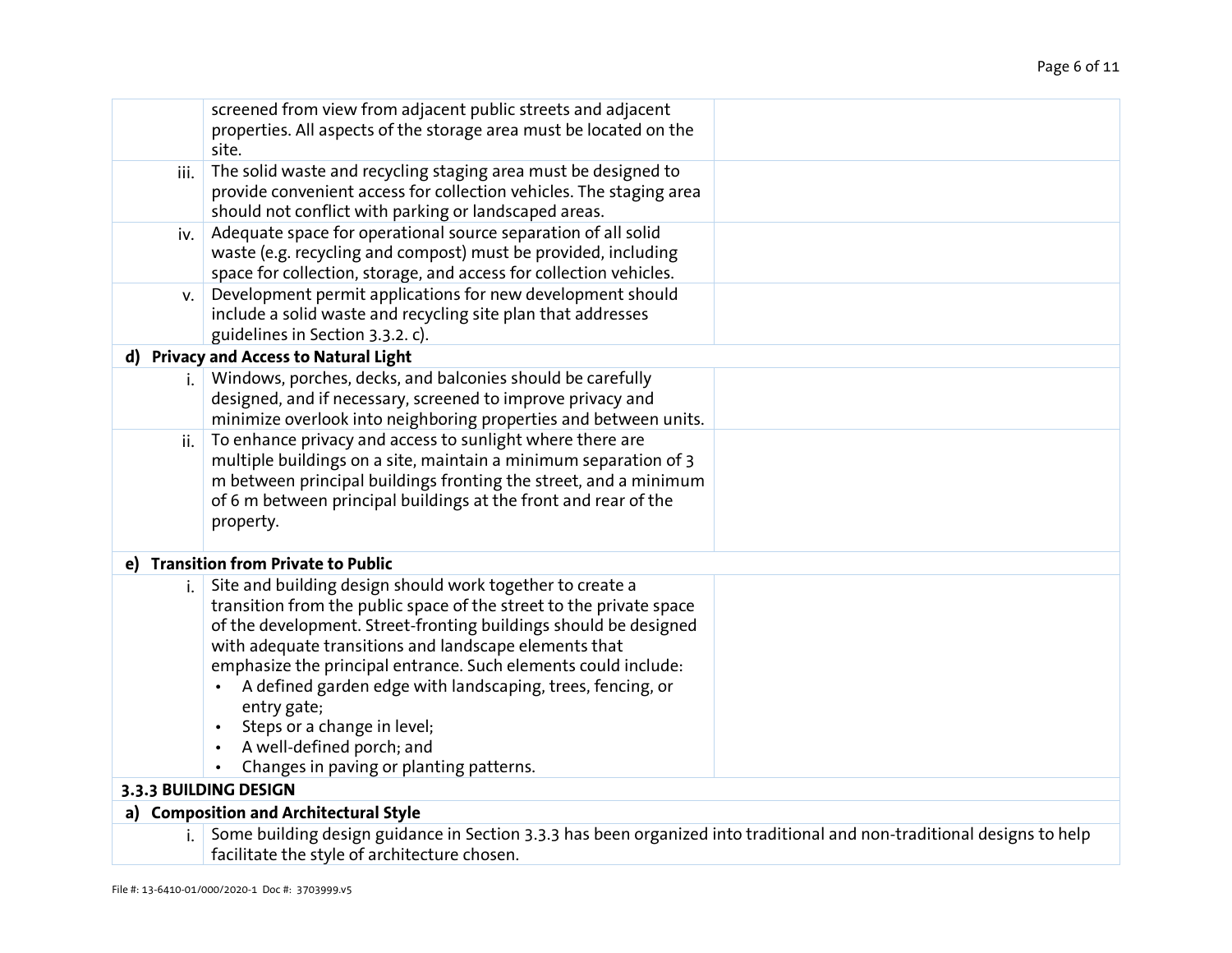|      | screened from view from adjacent public streets and adjacent<br>properties. All aspects of the storage area must be located on the<br>site.                                                                                                                                                                                                                                                                                                                                                                         |  |
|------|---------------------------------------------------------------------------------------------------------------------------------------------------------------------------------------------------------------------------------------------------------------------------------------------------------------------------------------------------------------------------------------------------------------------------------------------------------------------------------------------------------------------|--|
| iii. | The solid waste and recycling staging area must be designed to<br>provide convenient access for collection vehicles. The staging area<br>should not conflict with parking or landscaped areas.                                                                                                                                                                                                                                                                                                                      |  |
| iv.  | Adequate space for operational source separation of all solid<br>waste (e.g. recycling and compost) must be provided, including<br>space for collection, storage, and access for collection vehicles.                                                                                                                                                                                                                                                                                                               |  |
| V.   | Development permit applications for new development should<br>include a solid waste and recycling site plan that addresses<br>guidelines in Section 3.3.2. c).                                                                                                                                                                                                                                                                                                                                                      |  |
|      | d) Privacy and Access to Natural Light                                                                                                                                                                                                                                                                                                                                                                                                                                                                              |  |
|      | Windows, porches, decks, and balconies should be carefully<br>designed, and if necessary, screened to improve privacy and<br>minimize overlook into neighboring properties and between units.                                                                                                                                                                                                                                                                                                                       |  |
| ii.  | To enhance privacy and access to sunlight where there are<br>multiple buildings on a site, maintain a minimum separation of 3<br>m between principal buildings fronting the street, and a minimum<br>of 6 m between principal buildings at the front and rear of the<br>property.                                                                                                                                                                                                                                   |  |
|      | e) Transition from Private to Public                                                                                                                                                                                                                                                                                                                                                                                                                                                                                |  |
| i.   | Site and building design should work together to create a<br>transition from the public space of the street to the private space<br>of the development. Street-fronting buildings should be designed<br>with adequate transitions and landscape elements that<br>emphasize the principal entrance. Such elements could include:<br>A defined garden edge with landscaping, trees, fencing, or<br>entry gate;<br>Steps or a change in level;<br>A well-defined porch; and<br>Changes in paving or planting patterns. |  |
|      | 3.3.3 BUILDING DESIGN                                                                                                                                                                                                                                                                                                                                                                                                                                                                                               |  |
|      | a) Composition and Architectural Style                                                                                                                                                                                                                                                                                                                                                                                                                                                                              |  |
| i.   | Some building design guidance in Section 3.3.3 has been organized into traditional and non-traditional designs to help<br>facilitate the style of architecture chosen.                                                                                                                                                                                                                                                                                                                                              |  |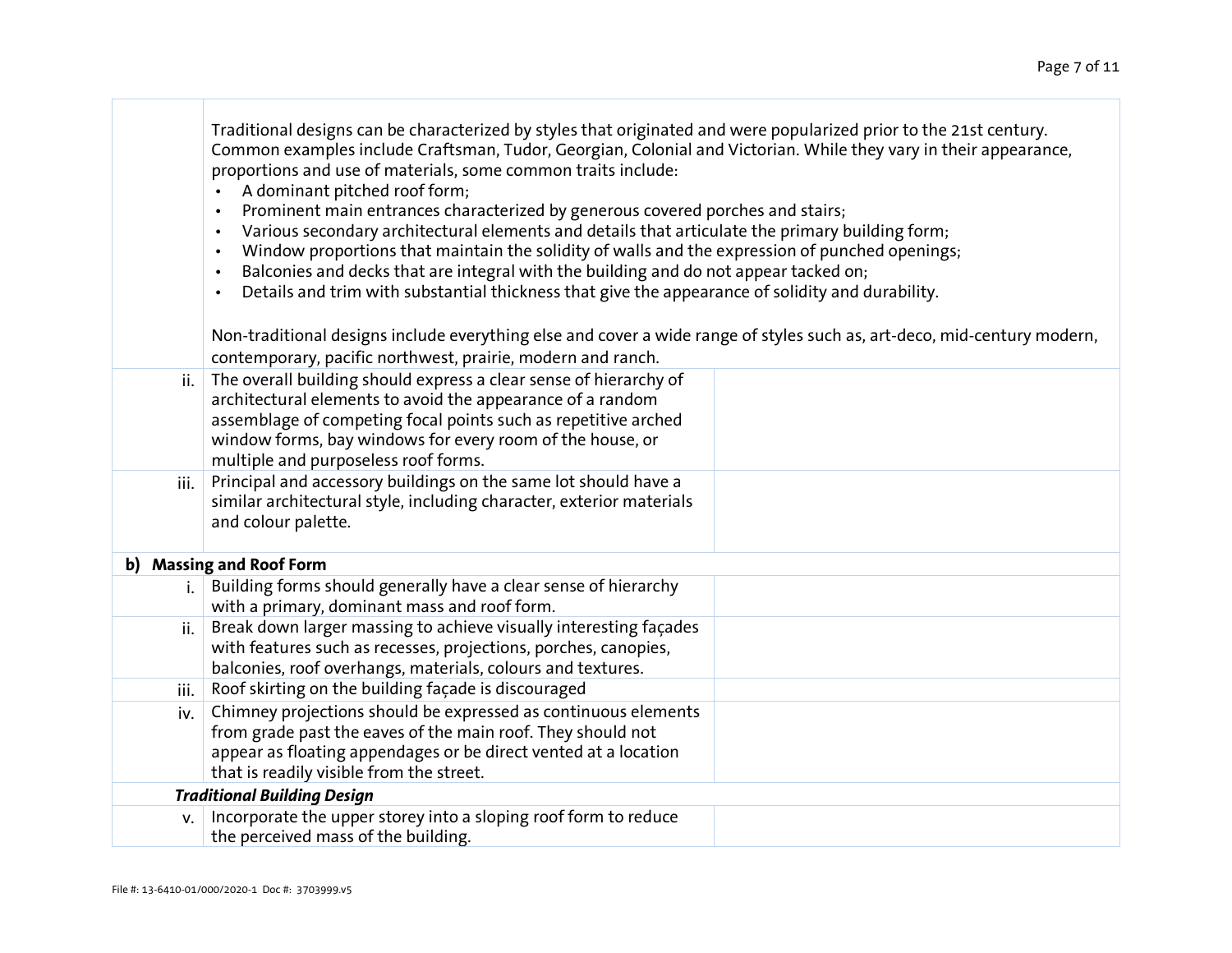|      | Traditional designs can be characterized by styles that originated and were popularized prior to the 21st century.<br>Common examples include Craftsman, Tudor, Georgian, Colonial and Victorian. While they vary in their appearance,<br>proportions and use of materials, some common traits include:<br>A dominant pitched roof form;<br>$\bullet$<br>Prominent main entrances characterized by generous covered porches and stairs;<br>$\bullet$<br>Various secondary architectural elements and details that articulate the primary building form;<br>$\bullet$<br>Window proportions that maintain the solidity of walls and the expression of punched openings;<br>$\bullet$<br>Balconies and decks that are integral with the building and do not appear tacked on;<br>$\bullet$<br>Details and trim with substantial thickness that give the appearance of solidity and durability.<br>$\bullet$<br>Non-traditional designs include everything else and cover a wide range of styles such as, art-deco, mid-century modern,<br>contemporary, pacific northwest, prairie, modern and ranch. |  |
|------|-----------------------------------------------------------------------------------------------------------------------------------------------------------------------------------------------------------------------------------------------------------------------------------------------------------------------------------------------------------------------------------------------------------------------------------------------------------------------------------------------------------------------------------------------------------------------------------------------------------------------------------------------------------------------------------------------------------------------------------------------------------------------------------------------------------------------------------------------------------------------------------------------------------------------------------------------------------------------------------------------------------------------------------------------------------------------------------------------------|--|
| ii.  | The overall building should express a clear sense of hierarchy of                                                                                                                                                                                                                                                                                                                                                                                                                                                                                                                                                                                                                                                                                                                                                                                                                                                                                                                                                                                                                                   |  |
|      | architectural elements to avoid the appearance of a random                                                                                                                                                                                                                                                                                                                                                                                                                                                                                                                                                                                                                                                                                                                                                                                                                                                                                                                                                                                                                                          |  |
|      | assemblage of competing focal points such as repetitive arched                                                                                                                                                                                                                                                                                                                                                                                                                                                                                                                                                                                                                                                                                                                                                                                                                                                                                                                                                                                                                                      |  |
|      | window forms, bay windows for every room of the house, or                                                                                                                                                                                                                                                                                                                                                                                                                                                                                                                                                                                                                                                                                                                                                                                                                                                                                                                                                                                                                                           |  |
|      | multiple and purposeless roof forms.                                                                                                                                                                                                                                                                                                                                                                                                                                                                                                                                                                                                                                                                                                                                                                                                                                                                                                                                                                                                                                                                |  |
| iii. | Principal and accessory buildings on the same lot should have a<br>similar architectural style, including character, exterior materials                                                                                                                                                                                                                                                                                                                                                                                                                                                                                                                                                                                                                                                                                                                                                                                                                                                                                                                                                             |  |
|      | and colour palette.                                                                                                                                                                                                                                                                                                                                                                                                                                                                                                                                                                                                                                                                                                                                                                                                                                                                                                                                                                                                                                                                                 |  |
|      |                                                                                                                                                                                                                                                                                                                                                                                                                                                                                                                                                                                                                                                                                                                                                                                                                                                                                                                                                                                                                                                                                                     |  |
|      | b) Massing and Roof Form                                                                                                                                                                                                                                                                                                                                                                                                                                                                                                                                                                                                                                                                                                                                                                                                                                                                                                                                                                                                                                                                            |  |
| i.   | Building forms should generally have a clear sense of hierarchy                                                                                                                                                                                                                                                                                                                                                                                                                                                                                                                                                                                                                                                                                                                                                                                                                                                                                                                                                                                                                                     |  |
|      | with a primary, dominant mass and roof form.                                                                                                                                                                                                                                                                                                                                                                                                                                                                                                                                                                                                                                                                                                                                                                                                                                                                                                                                                                                                                                                        |  |
| ii.  | Break down larger massing to achieve visually interesting facades                                                                                                                                                                                                                                                                                                                                                                                                                                                                                                                                                                                                                                                                                                                                                                                                                                                                                                                                                                                                                                   |  |
|      | with features such as recesses, projections, porches, canopies,                                                                                                                                                                                                                                                                                                                                                                                                                                                                                                                                                                                                                                                                                                                                                                                                                                                                                                                                                                                                                                     |  |
| iii. | balconies, roof overhangs, materials, colours and textures.<br>Roof skirting on the building façade is discouraged                                                                                                                                                                                                                                                                                                                                                                                                                                                                                                                                                                                                                                                                                                                                                                                                                                                                                                                                                                                  |  |
| iv.  | Chimney projections should be expressed as continuous elements                                                                                                                                                                                                                                                                                                                                                                                                                                                                                                                                                                                                                                                                                                                                                                                                                                                                                                                                                                                                                                      |  |
|      | from grade past the eaves of the main roof. They should not                                                                                                                                                                                                                                                                                                                                                                                                                                                                                                                                                                                                                                                                                                                                                                                                                                                                                                                                                                                                                                         |  |
|      | appear as floating appendages or be direct vented at a location                                                                                                                                                                                                                                                                                                                                                                                                                                                                                                                                                                                                                                                                                                                                                                                                                                                                                                                                                                                                                                     |  |
|      | that is readily visible from the street.                                                                                                                                                                                                                                                                                                                                                                                                                                                                                                                                                                                                                                                                                                                                                                                                                                                                                                                                                                                                                                                            |  |
|      | <b>Traditional Building Design</b>                                                                                                                                                                                                                                                                                                                                                                                                                                                                                                                                                                                                                                                                                                                                                                                                                                                                                                                                                                                                                                                                  |  |
| V.   | Incorporate the upper storey into a sloping roof form to reduce                                                                                                                                                                                                                                                                                                                                                                                                                                                                                                                                                                                                                                                                                                                                                                                                                                                                                                                                                                                                                                     |  |
|      | the perceived mass of the building.                                                                                                                                                                                                                                                                                                                                                                                                                                                                                                                                                                                                                                                                                                                                                                                                                                                                                                                                                                                                                                                                 |  |

⊤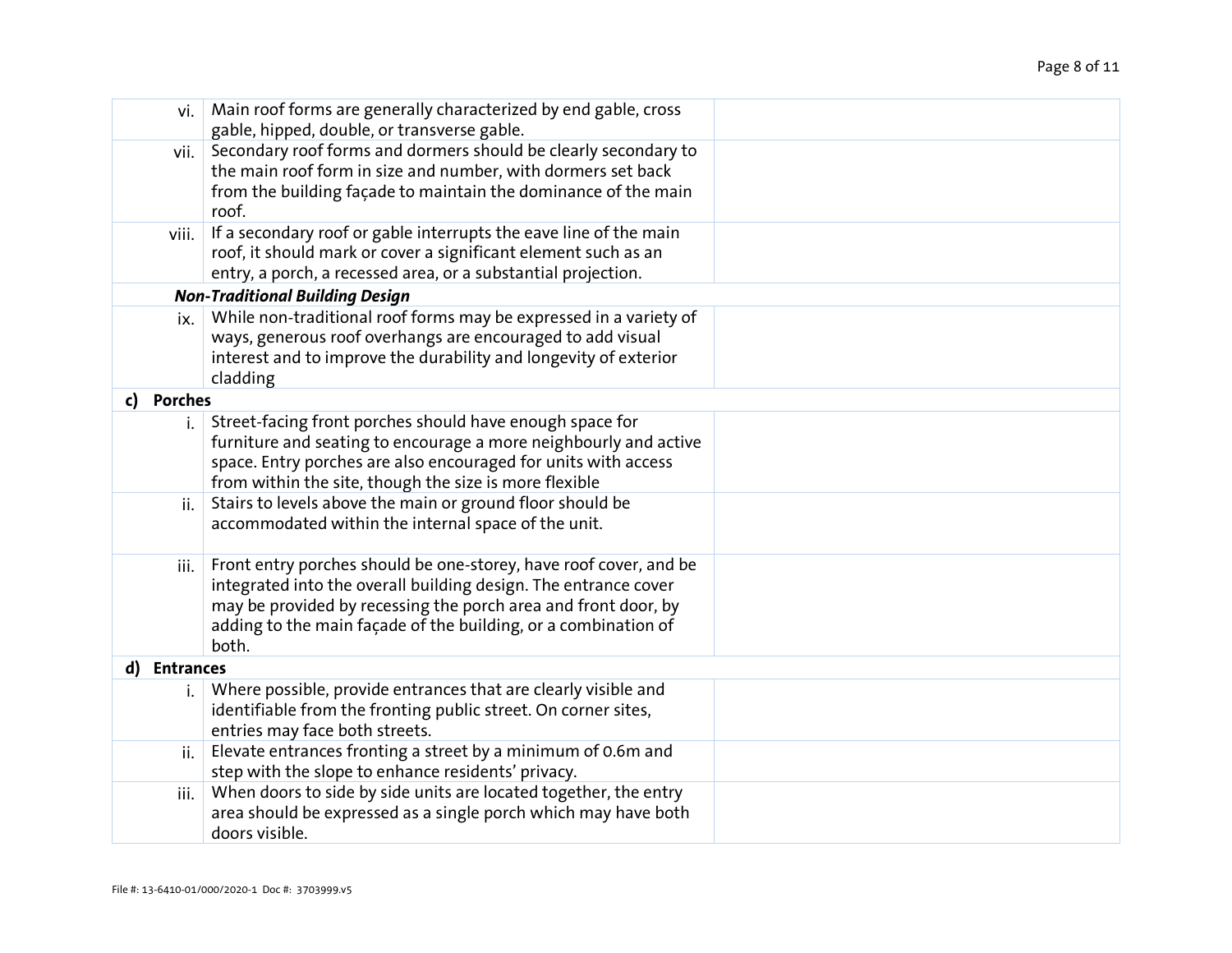| vi.                    | Main roof forms are generally characterized by end gable, cross         |  |
|------------------------|-------------------------------------------------------------------------|--|
|                        | gable, hipped, double, or transverse gable.                             |  |
| vii.                   | Secondary roof forms and dormers should be clearly secondary to         |  |
|                        | the main roof form in size and number, with dormers set back            |  |
|                        | from the building façade to maintain the dominance of the main          |  |
|                        | roof.                                                                   |  |
| viii.                  | If a secondary roof or gable interrupts the eave line of the main       |  |
|                        | roof, it should mark or cover a significant element such as an          |  |
|                        | entry, a porch, a recessed area, or a substantial projection.           |  |
|                        | <b>Non-Traditional Building Design</b>                                  |  |
| ix.                    | While non-traditional roof forms may be expressed in a variety of       |  |
|                        | ways, generous roof overhangs are encouraged to add visual              |  |
|                        | interest and to improve the durability and longevity of exterior        |  |
|                        | cladding                                                                |  |
| <b>Porches</b><br>c)   |                                                                         |  |
| i.                     | Street-facing front porches should have enough space for                |  |
|                        | furniture and seating to encourage a more neighbourly and active        |  |
|                        | space. Entry porches are also encouraged for units with access          |  |
|                        | from within the site, though the size is more flexible                  |  |
| ii.                    | Stairs to levels above the main or ground floor should be               |  |
|                        | accommodated within the internal space of the unit.                     |  |
|                        |                                                                         |  |
| iii.                   | Front entry porches should be one-storey, have roof cover, and be       |  |
|                        | integrated into the overall building design. The entrance cover         |  |
|                        | may be provided by recessing the porch area and front door, by          |  |
|                        | adding to the main façade of the building, or a combination of<br>both. |  |
| d)<br><b>Entrances</b> |                                                                         |  |
|                        | Where possible, provide entrances that are clearly visible and          |  |
| i.                     | identifiable from the fronting public street. On corner sites,          |  |
|                        | entries may face both streets.                                          |  |
| ii.                    | Elevate entrances fronting a street by a minimum of 0.6m and            |  |
|                        | step with the slope to enhance residents' privacy.                      |  |
| iii.                   | When doors to side by side units are located together, the entry        |  |
|                        | area should be expressed as a single porch which may have both          |  |
|                        | doors visible.                                                          |  |
|                        |                                                                         |  |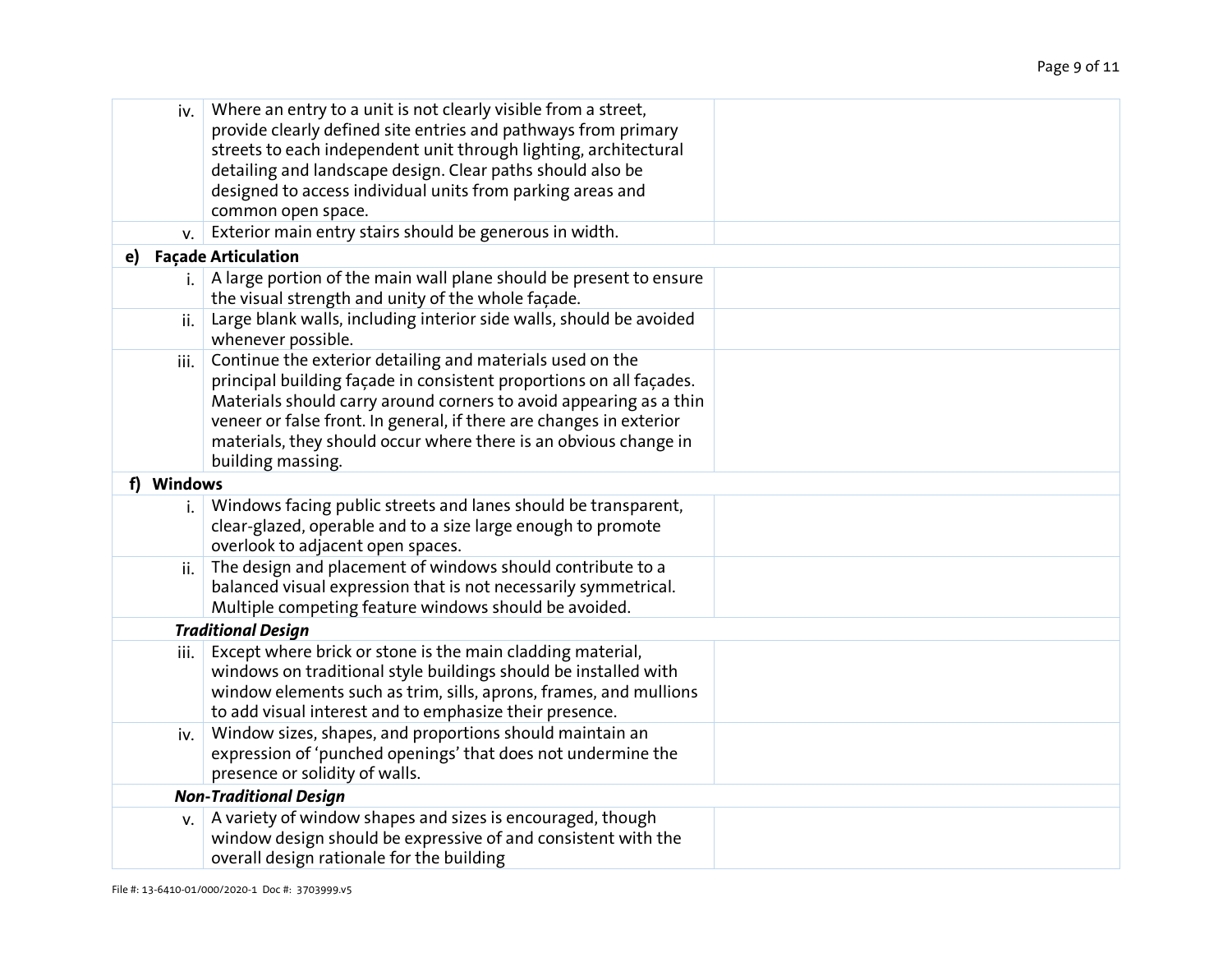|    | iv.        | Where an entry to a unit is not clearly visible from a street,<br>provide clearly defined site entries and pathways from primary<br>streets to each independent unit through lighting, architectural<br>detailing and landscape design. Clear paths should also be<br>designed to access individual units from parking areas and<br>common open space.                 |  |
|----|------------|------------------------------------------------------------------------------------------------------------------------------------------------------------------------------------------------------------------------------------------------------------------------------------------------------------------------------------------------------------------------|--|
|    | V.         | Exterior main entry stairs should be generous in width.                                                                                                                                                                                                                                                                                                                |  |
| e) |            | <b>Façade Articulation</b>                                                                                                                                                                                                                                                                                                                                             |  |
|    | i.         | A large portion of the main wall plane should be present to ensure<br>the visual strength and unity of the whole façade.                                                                                                                                                                                                                                               |  |
|    | ii.        | Large blank walls, including interior side walls, should be avoided<br>whenever possible.                                                                                                                                                                                                                                                                              |  |
|    | iii.       | Continue the exterior detailing and materials used on the<br>principal building façade in consistent proportions on all façades.<br>Materials should carry around corners to avoid appearing as a thin<br>veneer or false front. In general, if there are changes in exterior<br>materials, they should occur where there is an obvious change in<br>building massing. |  |
|    | f) Windows |                                                                                                                                                                                                                                                                                                                                                                        |  |
|    | i.         | Windows facing public streets and lanes should be transparent,<br>clear-glazed, operable and to a size large enough to promote<br>overlook to adjacent open spaces.                                                                                                                                                                                                    |  |
|    | ii.        | The design and placement of windows should contribute to a<br>balanced visual expression that is not necessarily symmetrical.<br>Multiple competing feature windows should be avoided.                                                                                                                                                                                 |  |
|    |            | <b>Traditional Design</b>                                                                                                                                                                                                                                                                                                                                              |  |
|    | iii.       | Except where brick or stone is the main cladding material,<br>windows on traditional style buildings should be installed with<br>window elements such as trim, sills, aprons, frames, and mullions<br>to add visual interest and to emphasize their presence.                                                                                                          |  |
|    | iv.        | Window sizes, shapes, and proportions should maintain an<br>expression of 'punched openings' that does not undermine the<br>presence or solidity of walls.                                                                                                                                                                                                             |  |
|    |            | <b>Non-Traditional Design</b>                                                                                                                                                                                                                                                                                                                                          |  |
|    | V.         | A variety of window shapes and sizes is encouraged, though<br>window design should be expressive of and consistent with the<br>overall design rationale for the building                                                                                                                                                                                               |  |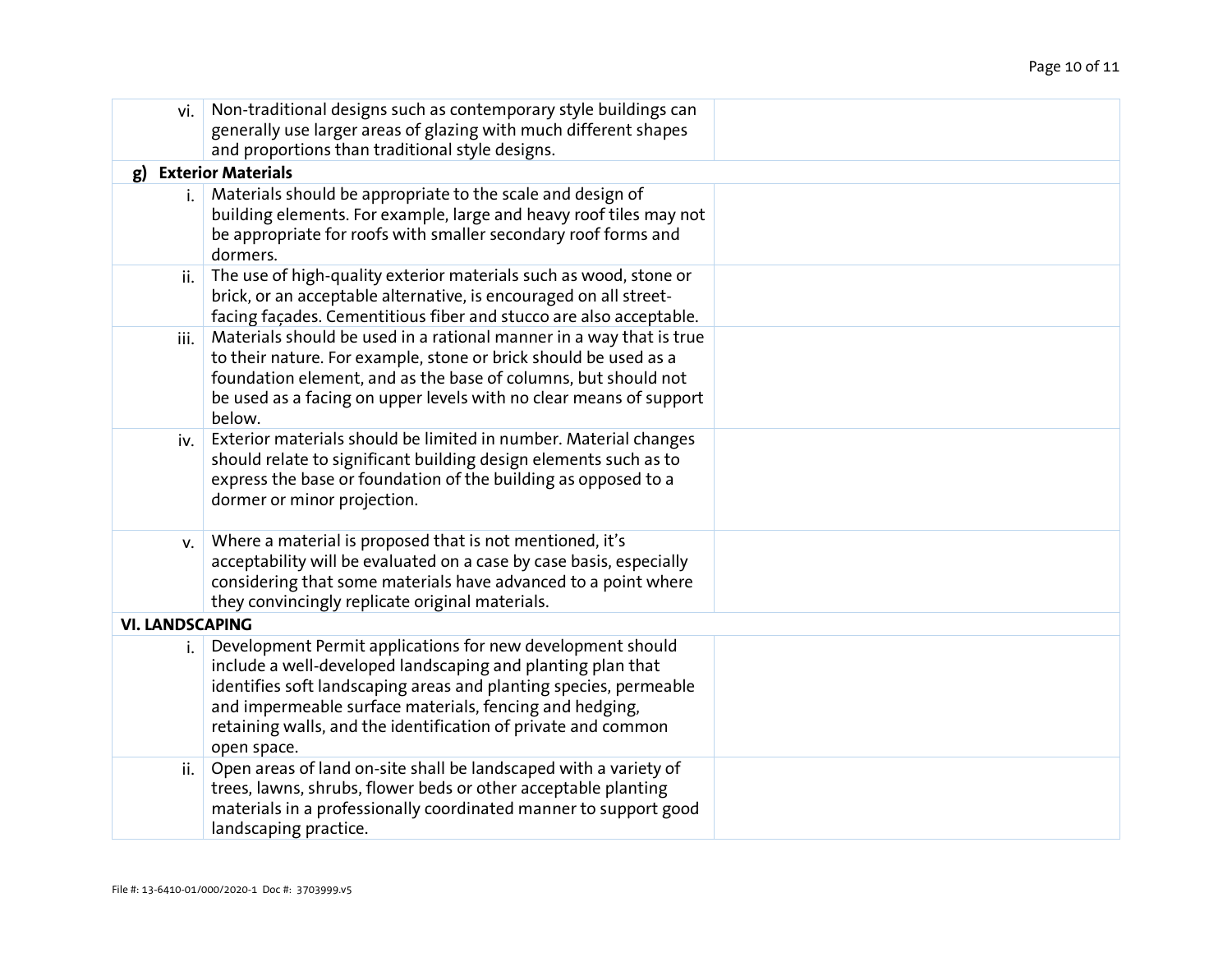| vi.                    | Non-traditional designs such as contemporary style buildings can<br>generally use larger areas of glazing with much different shapes<br>and proportions than traditional style designs.                                                                                                                                                   |  |
|------------------------|-------------------------------------------------------------------------------------------------------------------------------------------------------------------------------------------------------------------------------------------------------------------------------------------------------------------------------------------|--|
| g)                     | <b>Exterior Materials</b>                                                                                                                                                                                                                                                                                                                 |  |
| i.                     | Materials should be appropriate to the scale and design of<br>building elements. For example, large and heavy roof tiles may not<br>be appropriate for roofs with smaller secondary roof forms and<br>dormers.                                                                                                                            |  |
| ii.                    | The use of high-quality exterior materials such as wood, stone or<br>brick, or an acceptable alternative, is encouraged on all street-<br>facing façades. Cementitious fiber and stucco are also acceptable.                                                                                                                              |  |
| iii.                   | Materials should be used in a rational manner in a way that is true<br>to their nature. For example, stone or brick should be used as a<br>foundation element, and as the base of columns, but should not<br>be used as a facing on upper levels with no clear means of support<br>below.                                                 |  |
| iv.                    | Exterior materials should be limited in number. Material changes<br>should relate to significant building design elements such as to<br>express the base or foundation of the building as opposed to a<br>dormer or minor projection.                                                                                                     |  |
| V.                     | Where a material is proposed that is not mentioned, it's<br>acceptability will be evaluated on a case by case basis, especially<br>considering that some materials have advanced to a point where<br>they convincingly replicate original materials.                                                                                      |  |
| <b>VI. LANDSCAPING</b> |                                                                                                                                                                                                                                                                                                                                           |  |
| i.                     | Development Permit applications for new development should<br>include a well-developed landscaping and planting plan that<br>identifies soft landscaping areas and planting species, permeable<br>and impermeable surface materials, fencing and hedging,<br>retaining walls, and the identification of private and common<br>open space. |  |
| ii.                    | Open areas of land on-site shall be landscaped with a variety of<br>trees, lawns, shrubs, flower beds or other acceptable planting<br>materials in a professionally coordinated manner to support good<br>landscaping practice.                                                                                                           |  |